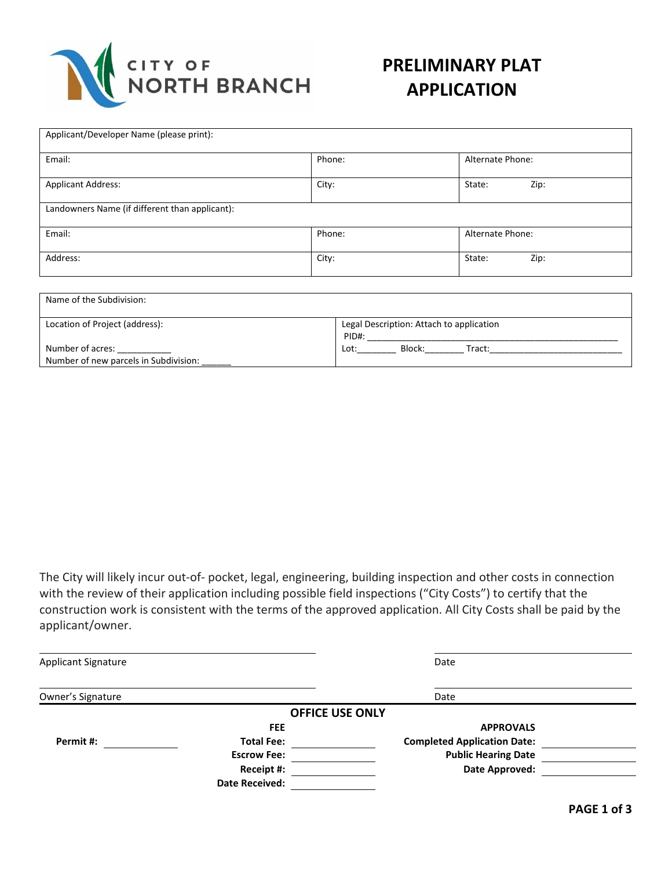

### **PRELIMINARY PLAT APPLICATION**

| Applicant/Developer Name (please print):       |        |                  |  |  |  |
|------------------------------------------------|--------|------------------|--|--|--|
| Email:                                         | Phone: | Alternate Phone: |  |  |  |
| <b>Applicant Address:</b>                      | City:  | Zip:<br>State:   |  |  |  |
| Landowners Name (if different than applicant): |        |                  |  |  |  |
| Email:                                         | Phone: | Alternate Phone: |  |  |  |
| Address:                                       | City:  | Zip:<br>State:   |  |  |  |

| Name of the Subdivision:                                  |                                                   |  |
|-----------------------------------------------------------|---------------------------------------------------|--|
| Location of Project (address):                            | Legal Description: Attach to application<br>PID#: |  |
| Number of acres:<br>Number of new parcels in Subdivision: | Block:<br>Lot:<br>Tract:                          |  |

The City will likely incur out-of- pocket, legal, engineering, building inspection and other costs in connection with the review of their application including possible field inspections ("City Costs") to certify that the construction work is consistent with the terms of the approved application. All City Costs shall be paid by the applicant/owner.

| <b>Applicant Signature</b> |                        | Date                               |  |
|----------------------------|------------------------|------------------------------------|--|
| Owner's Signature          |                        | Date                               |  |
|                            | <b>OFFICE USE ONLY</b> |                                    |  |
|                            | <b>FEE</b>             | <b>APPROVALS</b>                   |  |
| Permit #:                  | <b>Total Fee:</b>      | <b>Completed Application Date:</b> |  |
|                            | <b>Escrow Fee:</b>     | <b>Public Hearing Date</b>         |  |
|                            | Receipt #:             | Date Approved:                     |  |
|                            | <b>Date Received:</b>  |                                    |  |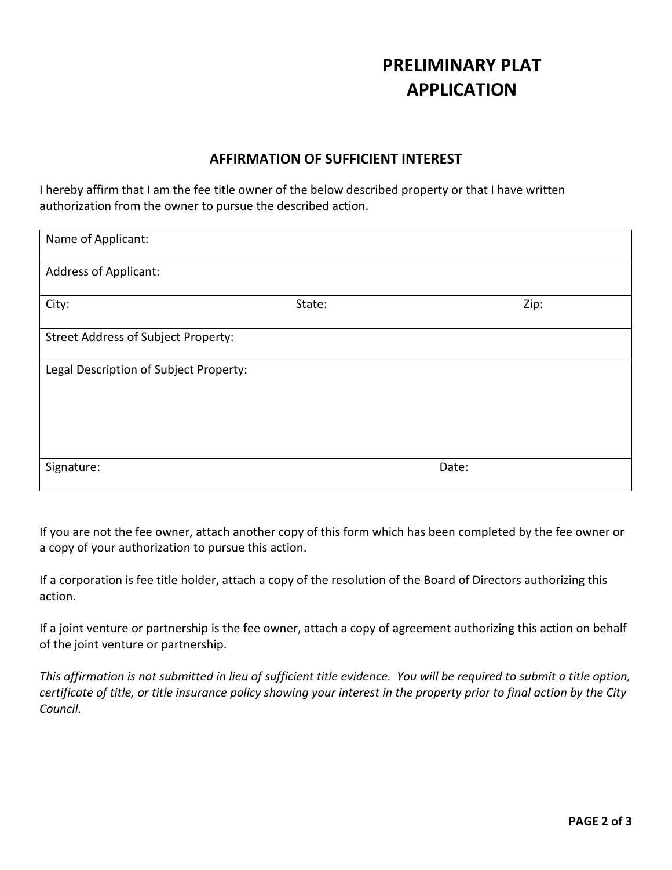## **PRELIMINARY PLAT APPLICATION**

### **AFFIRMATION OF SUFFICIENT INTEREST**

I hereby affirm that I am the fee title owner of the below described property or that I have written authorization from the owner to pursue the described action.

| Name of Applicant:                     |        |       |  |  |
|----------------------------------------|--------|-------|--|--|
| <b>Address of Applicant:</b>           |        |       |  |  |
| City:                                  | State: | Zip:  |  |  |
| Street Address of Subject Property:    |        |       |  |  |
| Legal Description of Subject Property: |        |       |  |  |
|                                        |        |       |  |  |
|                                        |        |       |  |  |
| Signature:                             |        | Date: |  |  |

If you are not the fee owner, attach another copy of this form which has been completed by the fee owner or a copy of your authorization to pursue this action.

If a corporation is fee title holder, attach a copy of the resolution of the Board of Directors authorizing this action.

If a joint venture or partnership is the fee owner, attach a copy of agreement authorizing this action on behalf of the joint venture or partnership.

*This affirmation is not submitted in lieu of sufficient title evidence. You will be required to submit a title option, certificate of title, or title insurance policy showing your interest in the property prior to final action by the City Council.*